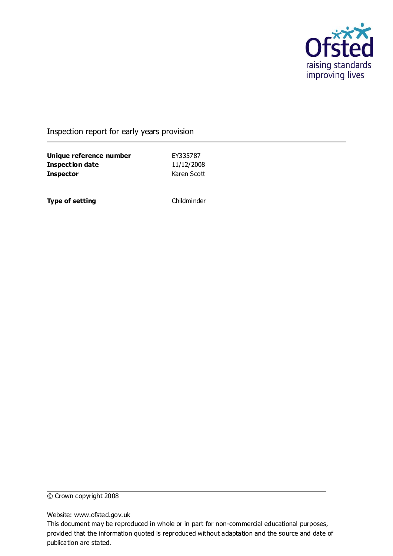

### Inspection report for early years provision

**Unique reference number** EY335787 **Inspection date** 11/12/2008 **Inspector** Karen Scott

**Type of setting** Childminder

© Crown copyright 2008

Website: www.ofsted.gov.uk

This document may be reproduced in whole or in part for non-commercial educational purposes, provided that the information quoted is reproduced without adaptation and the source and date of publication are stated.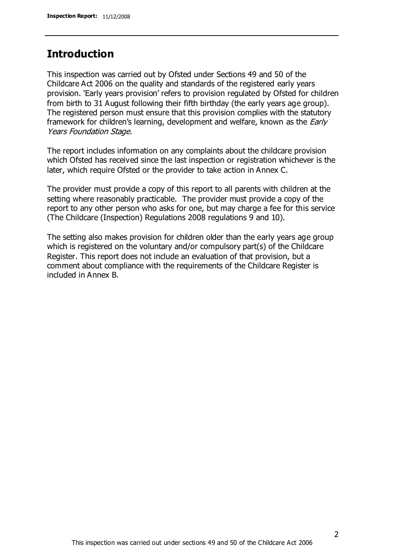# **Introduction**

This inspection was carried out by Ofsted under Sections 49 and 50 of the Childcare Act 2006 on the quality and standards of the registered early years provision. 'Early years provision' refers to provision regulated by Ofsted for children from birth to 31 August following their fifth birthday (the early years age group). The registered person must ensure that this provision complies with the statutory framework for children's learning, development and welfare, known as the *Early* Years Foundation Stage.

The report includes information on any complaints about the childcare provision which Ofsted has received since the last inspection or registration whichever is the later, which require Ofsted or the provider to take action in Annex C.

The provider must provide a copy of this report to all parents with children at the setting where reasonably practicable. The provider must provide a copy of the report to any other person who asks for one, but may charge a fee for this service (The Childcare (Inspection) Regulations 2008 regulations 9 and 10).

The setting also makes provision for children older than the early years age group which is registered on the voluntary and/or compulsory part(s) of the Childcare Register. This report does not include an evaluation of that provision, but a comment about compliance with the requirements of the Childcare Register is included in Annex B.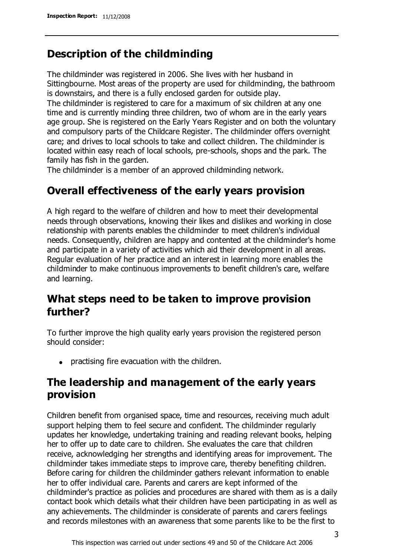# **Description of the childminding**

The childminder was registered in 2006. She lives with her husband in Sittingbourne. Most areas of the property are used for childminding, the bathroom is downstairs, and there is a fully enclosed garden for outside play.

The childminder is registered to care for a maximum of six children at any one time and is currently minding three children, two of whom are in the early years age group. She is registered on the Early Years Register and on both the voluntary and compulsory parts of the Childcare Register. The childminder offers overnight care; and drives to local schools to take and collect children. The childminder is located within easy reach of local schools, pre-schools, shops and the park. The family has fish in the garden.

The childminder is a member of an approved childminding network.

# **Overall effectiveness of the early years provision**

A high regard to the welfare of children and how to meet their developmental needs through observations, knowing their likes and dislikes and working in close relationship with parents enables the childminder to meet children's individual needs. Consequently, children are happy and contented at the childminder's home and participate in a variety of activities which aid their development in all areas. Regular evaluation of her practice and an interest in learning more enables the childminder to make continuous improvements to benefit children's care, welfare and learning.

# **What steps need to be taken to improve provision further?**

To further improve the high quality early years provision the registered person should consider:

practising fire evacuation with the children.

# **The leadership and management of the early years provision**

Children benefit from organised space, time and resources, receiving much adult support helping them to feel secure and confident. The childminder regularly updates her knowledge, undertaking training and reading relevant books, helping her to offer up to date care to children. She evaluates the care that children receive, acknowledging her strengths and identifying areas for improvement. The childminder takes immediate steps to improve care, thereby benefiting children. Before caring for children the childminder gathers relevant information to enable her to offer individual care. Parents and carers are kept informed of the childminder's practice as policies and procedures are shared with them as is a daily contact book which details what their children have been participating in as well as any achievements. The childminder is considerate of parents and carers feelings and records milestones with an awareness that some parents like to be the first to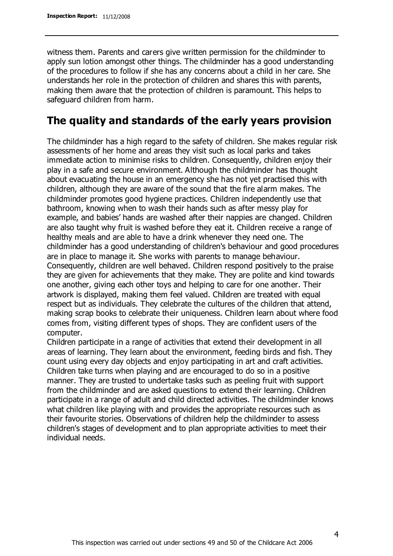witness them. Parents and carers give written permission for the childminder to apply sun lotion amongst other things. The childminder has a good understanding of the procedures to follow if she has any concerns about a child in her care. She understands her role in the protection of children and shares this with parents, making them aware that the protection of children is paramount. This helps to safeguard children from harm.

# **The quality and standards of the early years provision**

The childminder has a high regard to the safety of children. She makes regular risk assessments of her home and areas they visit such as local parks and takes immediate action to minimise risks to children. Consequently, children enjoy their play in a safe and secure environment. Although the childminder has thought about evacuating the house in an emergency she has not yet practised this with children, although they are aware of the sound that the fire alarm makes. The childminder promotes good hygiene practices. Children independently use that bathroom, knowing when to wash their hands such as after messy play for example, and babies' hands are washed after their nappies are changed. Children are also taught why fruit is washed before they eat it. Children receive a range of healthy meals and are able to have a drink whenever they need one. The childminder has a good understanding of children's behaviour and good procedures are in place to manage it. She works with parents to manage behaviour. Consequently, children are well behaved. Children respond positively to the praise they are given for achievements that they make. They are polite and kind towards one another, giving each other toys and helping to care for one another. Their artwork is displayed, making them feel valued. Children are treated with equal respect but as individuals. They celebrate the cultures of the children that attend, making scrap books to celebrate their uniqueness. Children learn about where food comes from, visiting different types of shops. They are confident users of the computer.

Children participate in a range of activities that extend their development in all areas of learning. They learn about the environment, feeding birds and fish. They count using every day objects and enjoy participating in art and craft activities. Children take turns when playing and are encouraged to do so in a positive manner. They are trusted to undertake tasks such as peeling fruit with support from the childminder and are asked questions to extend their learning. Children participate in a range of adult and child directed activities. The childminder knows what children like playing with and provides the appropriate resources such as their favourite stories. Observations of children help the childminder to assess children's stages of development and to plan appropriate activities to meet their individual needs.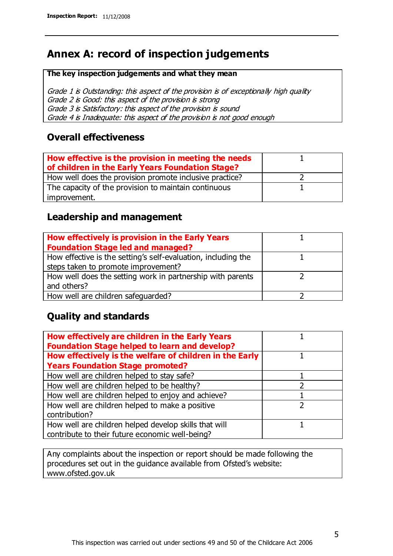# **Annex A: record of inspection judgements**

#### **The key inspection judgements and what they mean**

Grade 1 is Outstanding: this aspect of the provision is of exceptionally high quality Grade 2 is Good: this aspect of the provision is strong Grade 3 is Satisfactory: this aspect of the provision is sound Grade 4 is Inadequate: this aspect of the provision is not good enough

### **Overall effectiveness**

| How effective is the provision in meeting the needs<br>of children in the Early Years Foundation Stage? |  |
|---------------------------------------------------------------------------------------------------------|--|
| How well does the provision promote inclusive practice?                                                 |  |
| The capacity of the provision to maintain continuous                                                    |  |
| improvement.                                                                                            |  |

## **Leadership and management**

| How effectively is provision in the Early Years               |  |
|---------------------------------------------------------------|--|
| <b>Foundation Stage led and managed?</b>                      |  |
| How effective is the setting's self-evaluation, including the |  |
| steps taken to promote improvement?                           |  |
| How well does the setting work in partnership with parents    |  |
| and others?                                                   |  |
| How well are children safequarded?                            |  |

# **Quality and standards**

| How effectively are children in the Early Years<br><b>Foundation Stage helped to learn and develop?</b> |   |
|---------------------------------------------------------------------------------------------------------|---|
| How effectively is the welfare of children in the Early                                                 |   |
| <b>Years Foundation Stage promoted?</b>                                                                 |   |
| How well are children helped to stay safe?                                                              |   |
| How well are children helped to be healthy?                                                             |   |
| How well are children helped to enjoy and achieve?                                                      |   |
| How well are children helped to make a positive                                                         | າ |
| contribution?                                                                                           |   |
| How well are children helped develop skills that will                                                   |   |
| contribute to their future economic well-being?                                                         |   |

Any complaints about the inspection or report should be made following the procedures set out in the guidance available from Ofsted's website: www.ofsted.gov.uk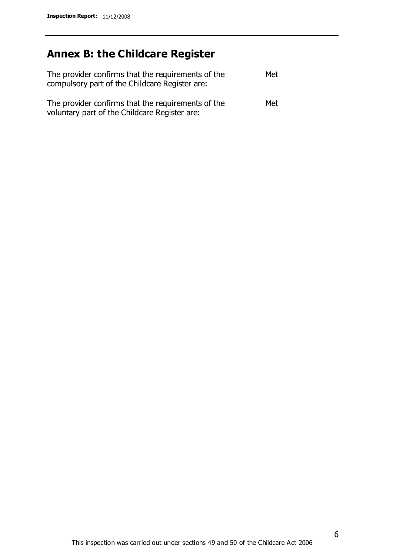# **Annex B: the Childcare Register**

| The provider confirms that the requirements of the<br>compulsory part of the Childcare Register are: | Met |
|------------------------------------------------------------------------------------------------------|-----|
| The provider confirms that the requirements of the<br>voluntary part of the Childcare Register are:  | Met |